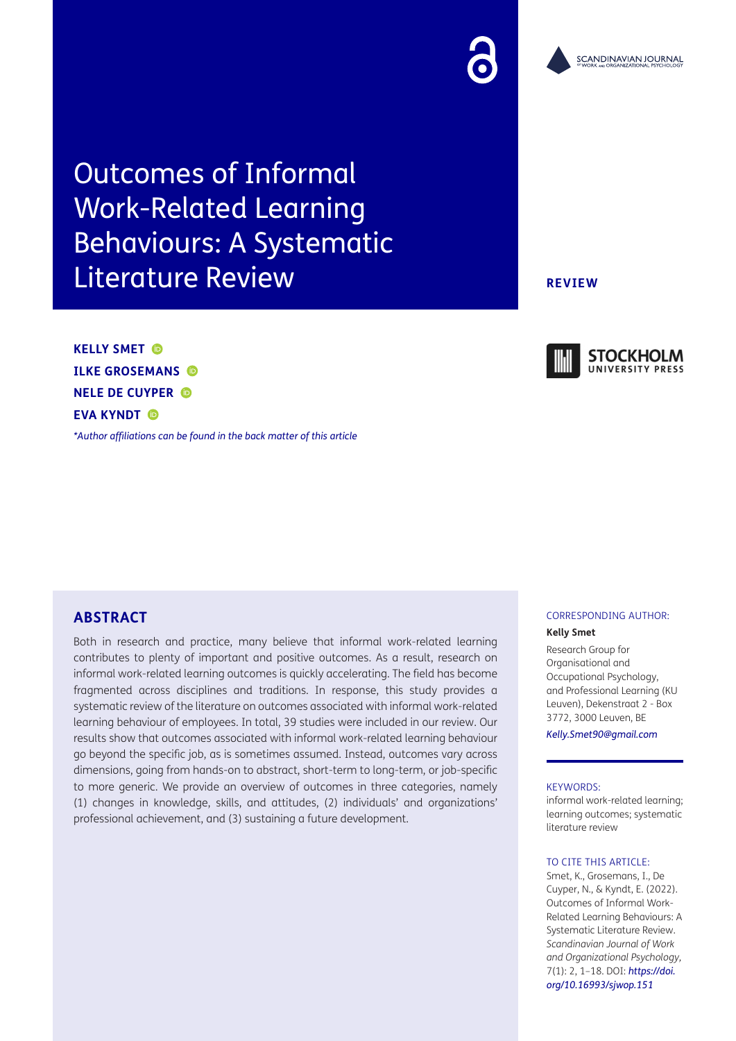# Outcomes of Informal Work-Related Learning Behaviours: A Systematic Literature Review

**KELLY SMET ILKE GROSEMANS NELE DE CUYPER EVA KYNDT C** 

*[\\*Author affiliations can be found in the back matter of this article](#page-12-0)*

# **ABSTRACT**

Both in research and practice, many believe that informal work-related learning contributes to plenty of important and positive outcomes. As a result, research on informal work-related learning outcomes is quickly accelerating. The field has become fragmented across disciplines and traditions. In response, this study provides a systematic review of the literature on outcomes associated with informal work-related learning behaviour of employees. In total, 39 studies were included in our review. Our results show that outcomes associated with informal work-related learning behaviour go beyond the specific job, as is sometimes assumed. Instead, outcomes vary across dimensions, going from hands-on to abstract, short-term to long-term, or job-specific to more generic. We provide an overview of outcomes in three categories, namely (1) changes in knowledge, skills, and attitudes, (2) individuals' and organizations' professional achievement, and (3) sustaining a future development.

# CORRESPONDING AUTHOR:

#### **Kelly Smet**

Research Group for Organisational and Occupational Psychology, and Professional Learning (KU Leuven), Dekenstraat 2 - Box 3772, 3000 Leuven, BE

*[Kelly.Smet90@gmail.com](mailto:Kelly.Smet90@gmail.com)*

#### KEYWORDS:

informal work-related learning; learning outcomes; systematic literature review

### TO CITE THIS ARTICLE:

Smet, K., Grosemans, I., De Cuyper, N., & Kyndt, E. (2022). Outcomes of Informal Work-Related Learning Behaviours: A Systematic Literature Review. *Scandinavian Journal of Work and Organizational Psychology,* 7(1): 2, 1–18. DOI: *[https://doi.](https://doi.org/10.16993/sjwop.151) [org/10.16993/sjwop.151](https://doi.org/10.16993/sjwop.151)*

## **REVIEW**